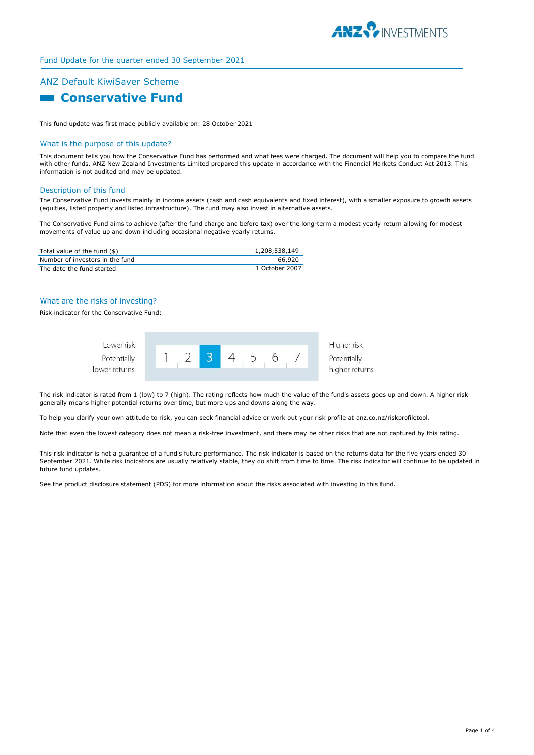

## Fund Update for the quarter ended 30 September 2021

# ANZ Default KiwiSaver Scheme

## **R** Conservative Fund

This fund update was first made publicly available on: 28 October 2021

#### What is the purpose of this update?

This document tells you how the Conservative Fund has performed and what fees were charged. The document will help you to compare the fund with other funds. ANZ New Zealand Investments Limited prepared this update in accordance with the Financial Markets Conduct Act 2013. This information is not audited and may be updated.

#### Description of this fund

The Conservative Fund invests mainly in income assets (cash and cash equivalents and fixed interest), with a smaller exposure to growth assets (equities, listed property and listed infrastructure). The fund may also invest in alternative assets.

The Conservative Fund aims to achieve (after the fund charge and before tax) over the long-term a modest yearly return allowing for modest movements of value up and down including occasional negative yearly returns.

| Total value of the fund (\$)    | 1,208,538,149  |
|---------------------------------|----------------|
| Number of investors in the fund | 66,920         |
| The date the fund started       | 1 October 2007 |

#### What are the risks of investing?

Risk indicator for the Conservative Fund:



The risk indicator is rated from 1 (low) to 7 (high). The rating reflects how much the value of the fund's assets goes up and down. A higher risk generally means higher potential returns over time, but more ups and downs along the way.

To help you clarify your own attitude to risk, you can seek financial advice or work out your risk profile at anz.co.nz/riskprofiletool.

Note that even the lowest category does not mean a risk-free investment, and there may be other risks that are not captured by this rating.

This risk indicator is not a guarantee of a fund's future performance. The risk indicator is based on the returns data for the five years ended 30 September 2021. While risk indicators are usually relatively stable, they do shift from time to time. The risk indicator will continue to be updated in future fund updates.

See the product disclosure statement (PDS) for more information about the risks associated with investing in this fund.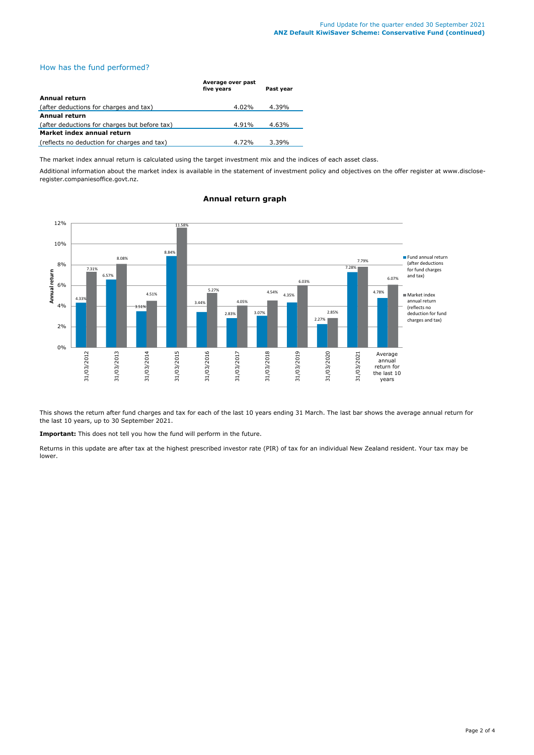## How has the fund performed?

|                                               | Average over past<br>five years | Past year |
|-----------------------------------------------|---------------------------------|-----------|
| Annual return                                 |                                 |           |
| (after deductions for charges and tax)        | 4.02%                           | 4.39%     |
| <b>Annual return</b>                          |                                 |           |
| (after deductions for charges but before tax) | 4.91%                           | 4.63%     |
| Market index annual return                    |                                 |           |
| (reflects no deduction for charges and tax)   | 4.72%                           | $3.39\%$  |

The market index annual return is calculated using the target investment mix and the indices of each asset class.

Additional information about the market index is available in the statement of investment policy and objectives on the offer register at www.discloseregister.companiesoffice.govt.nz.



## **Annual return graph**

This shows the return after fund charges and tax for each of the last 10 years ending 31 March. The last bar shows the average annual return for the last 10 years, up to 30 September 2021.

**Important:** This does not tell you how the fund will perform in the future.

Returns in this update are after tax at the highest prescribed investor rate (PIR) of tax for an individual New Zealand resident. Your tax may be lower.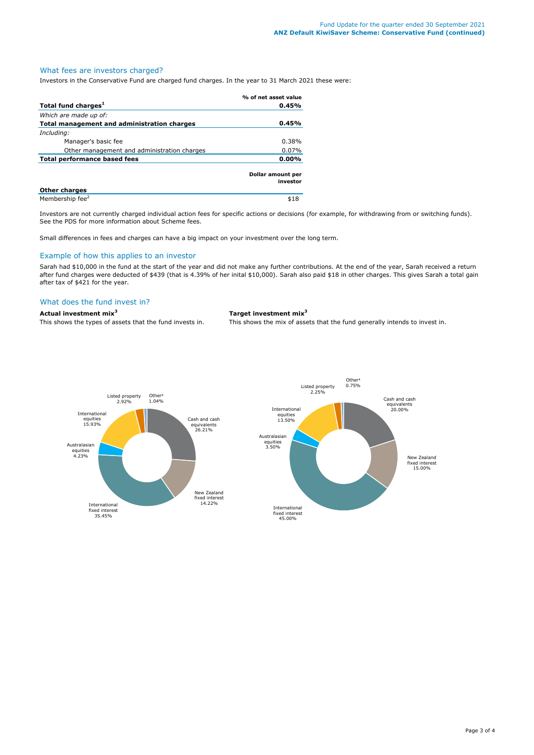## What fees are investors charged?

Investors in the Conservative Fund are charged fund charges. In the year to 31 March 2021 these were:

|                                             | % of net asset value          |  |
|---------------------------------------------|-------------------------------|--|
| Total fund charges <sup>1</sup>             | 0.45%                         |  |
| Which are made up of:                       |                               |  |
| Total management and administration charges | 0.45%                         |  |
| Including:                                  |                               |  |
| Manager's basic fee                         | 0.38%                         |  |
| Other management and administration charges | 0.07%                         |  |
| <b>Total performance based fees</b>         | 0.00%                         |  |
|                                             | Dollar amount per<br>investor |  |
| <b>Other charges</b>                        |                               |  |
| Membership fee <sup>2</sup>                 | \$18                          |  |

Investors are not currently charged individual action fees for specific actions or decisions (for example, for withdrawing from or switching funds). See the PDS for more information about Scheme fees.

Small differences in fees and charges can have a big impact on your investment over the long term.

#### Example of how this applies to an investor

Sarah had \$10,000 in the fund at the start of the year and did not make any further contributions. At the end of the year, Sarah received a return after fund charges were deducted of \$439 (that is 4.39% of her inital \$10,000). Sarah also paid \$18 in other charges. This gives Sarah a total gain after tax of \$421 for the year.

### What does the fund invest in?

## **Actual investment mix<sup>3</sup> Target investment mix<sup>3</sup>**

This shows the types of assets that the fund invests in. This shows the mix of assets that the fund generally intends to invest in.